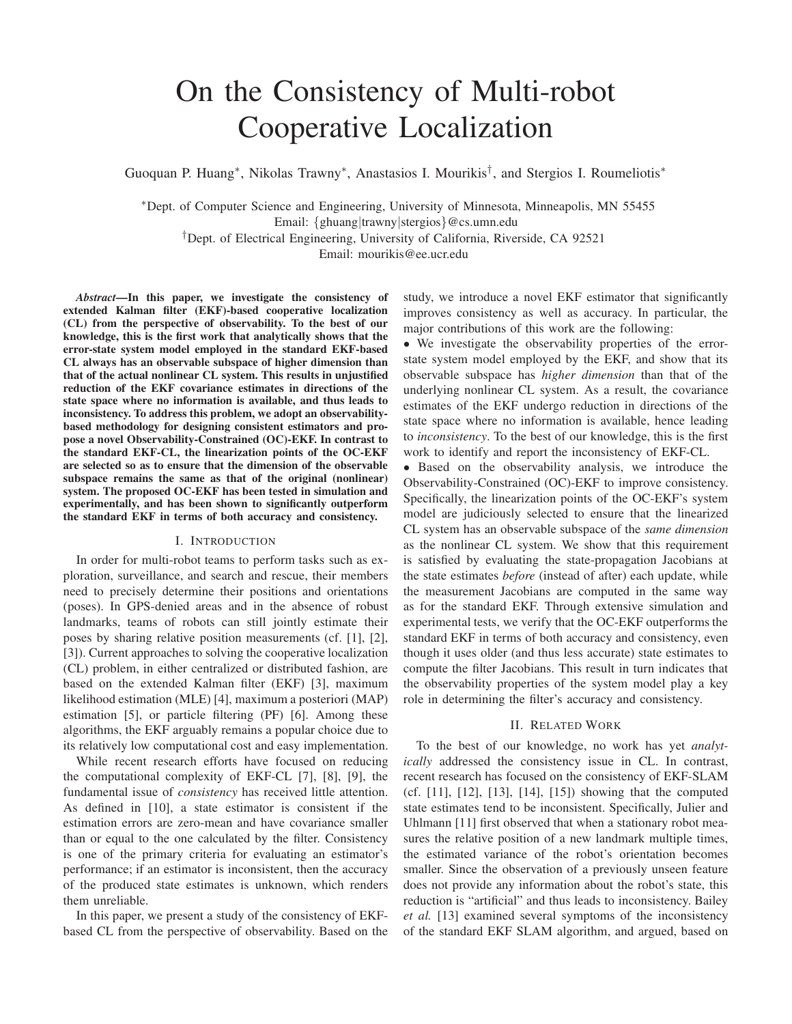# On the Consistency of Multi-robot Cooperative Localization

Guoquan P. Huang<sup>\*</sup>, Nikolas Trawny<sup>\*</sup>, Anastasios I. Mourikis<sup>†</sup>, and Stergios I. Roumeliotis<sup>\*</sup>

<sup>∗</sup>Dept. of Computer Science and Engineering, University of Minnesota, Minneapolis, MN 55455 Email: {ghuang|trawny|stergios}@cs.umn.edu †Dept. of Electrical Engineering, University of California, Riverside, CA 92521 Email: mourikis@ee.ucr.edu

*Abstract***—In this paper, we investigate the consistency of extended Kalman filter (EKF)-based cooperative localization (CL) from the perspective of observability. To the best of our knowledge, this is the first work that analytically shows that the error-state system model employed in the standard EKF-based CL always has an observable subspace of higher dimension than that of the actual nonlinear CL system. This results in unjustified reduction of the EKF covariance estimates in directions of the state space where no information is available, and thus leads to inconsistency. To address this problem, we adopt an observabilitybased methodology for designing consistent estimators and propose a novel Observability-Constrained (OC)-EKF. In contrast to the standard EKF-CL, the linearization points of the OC-EKF are selected so as to ensure that the dimension of the observable subspace remains the same as that of the original (nonlinear) system. The proposed OC-EKF has been tested in simulation and experimentally, and has been shown to significantly outperform the standard EKF in terms of both accuracy and consistency.**

### I. INTRODUCTION

In order for multi-robot teams to perform tasks such as exploration, surveillance, and search and rescue, their members need to precisely determine their positions and orientations (poses). In GPS-denied areas and in the absence of robust landmarks, teams of robots can still jointly estimate their poses by sharing relative position measurements (cf. [1], [2], [3]). Current approaches to solving the cooperative localization (CL) problem, in either centralized or distributed fashion, are based on the extended Kalman filter (EKF) [3], maximum likelihood estimation (MLE) [4], maximum a posteriori (MAP) estimation [5], or particle filtering (PF) [6]. Among these algorithms, the EKF arguably remains a popular choice due to its relatively low computational cost and easy implementation.

While recent research efforts have focused on reducing the computational complexity of EKF-CL [7], [8], [9], the fundamental issue of *consistency* has received little attention. As defined in [10], a state estimator is consistent if the estimation errors are zero-mean and have covariance smaller than or equal to the one calculated by the filter. Consistency is one of the primary criteria for evaluating an estimator's performance; if an estimator is inconsistent, then the accuracy of the produced state estimates is unknown, which renders them unreliable.

In this paper, we present a study of the consistency of EKFbased CL from the perspective of observability. Based on the study, we introduce a novel EKF estimator that significantly improves consistency as well as accuracy. In particular, the major contributions of this work are the following:

• We investigate the observability properties of the errorstate system model employed by the EKF, and show that its observable subspace has *higher dimension* than that of the underlying nonlinear CL system. As a result, the covariance estimates of the EKF undergo reduction in directions of the state space where no information is available, hence leading to *inconsistency*. To the best of our knowledge, this is the first work to identify and report the inconsistency of EKF-CL.

• Based on the observability analysis, we introduce the Observability-Constrained (OC)-EKF to improve consistency. Specifically, the linearization points of the OC-EKF's system model are judiciously selected to ensure that the linearized CL system has an observable subspace of the *same dimension* as the nonlinear CL system. We show that this requirement is satisfied by evaluating the state-propagation Jacobians at the state estimates *before* (instead of after) each update, while the measurement Jacobians are computed in the same way as for the standard EKF. Through extensive simulation and experimental tests, we verify that the OC-EKF outperforms the standard EKF in terms of both accuracy and consistency, even though it uses older (and thus less accurate) state estimates to compute the filter Jacobians. This result in turn indicates that the observability properties of the system model play a key role in determining the filter's accuracy and consistency.

# II. RELATED WORK

To the best of our knowledge, no work has yet *analytically* addressed the consistency issue in CL. In contrast, recent research has focused on the consistency of EKF-SLAM (cf. [11], [12], [13], [14], [15]) showing that the computed state estimates tend to be inconsistent. Specifically, Julier and Uhlmann [11] first observed that when a stationary robot measures the relative position of a new landmark multiple times, the estimated variance of the robot's orientation becomes smaller. Since the observation of a previously unseen feature does not provide any information about the robot's state, this reduction is "artificial" and thus leads to inconsistency. Bailey *et al.* [13] examined several symptoms of the inconsistency of the standard EKF SLAM algorithm, and argued, based on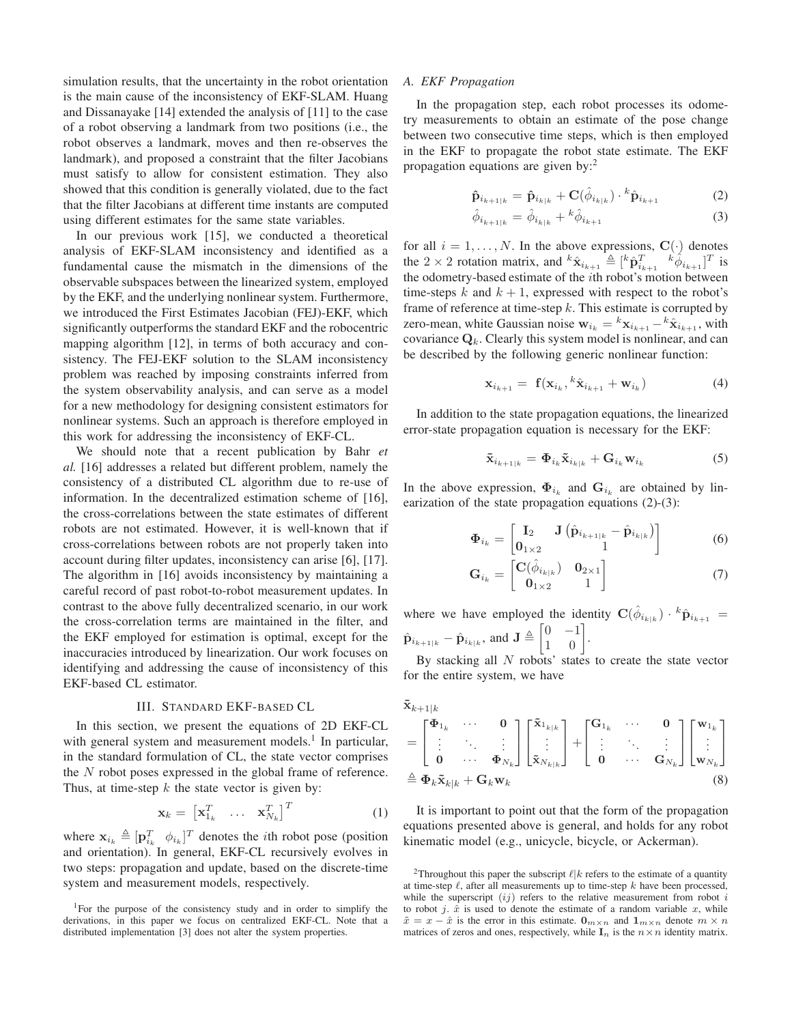simulation results, that the uncertainty in the robot orientation is the main cause of the inconsistency of EKF-SLAM. Huang and Dissanayake [14] extended the analysis of [11] to the case of a robot observing a landmark from two positions (i.e., the robot observes a landmark, moves and then re-observes the landmark), and proposed a constraint that the filter Jacobians must satisfy to allow for consistent estimation. They also showed that this condition is generally violated, due to the fact that the filter Jacobians at different time instants are computed using different estimates for the same state variables.

In our previous work [15], we conducted a theoretical analysis of EKF-SLAM inconsistency and identified as a fundamental cause the mismatch in the dimensions of the observable subspaces between the linearized system, employed by the EKF, and the underlying nonlinear system. Furthermore, we introduced the First Estimates Jacobian (FEJ)-EKF, which significantly outperforms the standard EKF and the robocentric mapping algorithm [12], in terms of both accuracy and consistency. The FEJ-EKF solution to the SLAM inconsistency problem was reached by imposing constraints inferred from the system observability analysis, and can serve as a model for a new methodology for designing consistent estimators for nonlinear systems. Such an approach is therefore employed in this work for addressing the inconsistency of EKF-CL.

We should note that a recent publication by Bahr *et al.* [16] addresses a related but different problem, namely the consistency of a distributed CL algorithm due to re-use of information. In the decentralized estimation scheme of [16], the cross-correlations between the state estimates of different robots are not estimated. However, it is well-known that if cross-correlations between robots are not properly taken into account during filter updates, inconsistency can arise [6], [17]. The algorithm in [16] avoids inconsistency by maintaining a careful record of past robot-to-robot measurement updates. In contrast to the above fully decentralized scenario, in our work the cross-correlation terms are maintained in the filter, and the EKF employed for estimation is optimal, except for the inaccuracies introduced by linearization. Our work focuses on identifying and addressing the cause of inconsistency of this EKF-based CL estimator.

## III. STANDARD EKF-BASED CL

In this section, we present the equations of 2D EKF-CL with general system and measurement models.<sup>1</sup> In particular, in the standard formulation of CL, the state vector comprises the N robot poses expressed in the global frame of reference. Thus, at time-step  $k$  the state vector is given by:

$$
\mathbf{x}_k = \begin{bmatrix} \mathbf{x}_{1_k}^T & \dots & \mathbf{x}_{N_k}^T \end{bmatrix}^T
$$
 (1)

where  $\mathbf{x}_{i_k} \triangleq [\mathbf{p}_{i_k}^T \quad \phi_{i_k}]^T$  denotes the *i*th robot pose (position and orientation). In general, EKF-CL recursively evolves in two steps: propagation and update, based on the discrete-time system and measurement models, respectively.

# *A. EKF Propagation*

In the propagation step, each robot processes its odometry measurements to obtain an estimate of the pose change between two consecutive time steps, which is then employed in the EKF to propagate the robot state estimate. The EKF propagation equations are given by:<sup>2</sup>

$$
\hat{\mathbf{p}}_{i_{k+1|k}} = \hat{\mathbf{p}}_{i_{k|k}} + \mathbf{C}(\hat{\phi}_{i_{k|k}}) \cdot {}^{k}\hat{\mathbf{p}}_{i_{k+1}} \tag{2}
$$

$$
\hat{\phi}_{i_{k+1|k}} = \hat{\phi}_{i_{k|k}} + {}^{k}\hat{\phi}_{i_{k+1}} \tag{3}
$$

for all  $i = 1, ..., N$ . In the above expressions,  $C(\cdot)$  denotes the 2 × 2 rotation matrix, and  ${}^k\hat{\mathbf{x}}_{i_{k+1}} \stackrel{\sim}{=} [{}^k\hat{\mathbf{p}}_{i_{k+1}}^T \quad {}^k\hat{\phi}_{i_{k+1}}]^T$  is the odometry-based estimate of the ith robot's motion between time-steps k and  $k + 1$ , expressed with respect to the robot's frame of reference at time-step  $k$ . This estimate is corrupted by zero-mean, white Gaussian noise  $\mathbf{w}_{i_k} = {}^k \mathbf{x}_{i_{k+1}} - {}^k \hat{\mathbf{x}}_{i_{k+1}}$ , with covariance  $\mathbf{Q}_k$ . Clearly this system model is nonlinear, and can be described by the following generic nonlinear function:

$$
\mathbf{x}_{i_{k+1}} = \mathbf{f}(\mathbf{x}_{i_k}, {^k\hat{\mathbf{x}}}_{i_{k+1}} + \mathbf{w}_{i_k})
$$
(4)

In addition to the state propagation equations, the linearized error-state propagation equation is necessary for the EKF:

$$
\tilde{\mathbf{x}}_{i_{k+1|k}} = \mathbf{\Phi}_{i_k} \tilde{\mathbf{x}}_{i_{k|k}} + \mathbf{G}_{i_k} \mathbf{w}_{i_k}
$$
\n(5)

In the above expression,  $\mathbf{\Phi}_{i_k}$  and  $\mathbf{G}_{i_k}$  are obtained by linearization of the state propagation equations (2)-(3):

$$
\mathbf{\Phi}_{i_k} = \begin{bmatrix} \mathbf{I}_2 & \mathbf{J} \left( \hat{\mathbf{p}}_{i_{k+1|k}} - \hat{\mathbf{p}}_{i_{k|k}} \right) \\ \mathbf{0}_{1 \times 2} & 1 \end{bmatrix}
$$
 (6)

$$
\mathbf{G}_{i_k} = \begin{bmatrix} \mathbf{C}(\hat{\phi}_{i_{k|k}}) & \mathbf{0}_{2\times 1} \\ \mathbf{0}_{1\times 2} & 1 \end{bmatrix}
$$
 (7)

where we have employed the identity  $\mathbf{C}(\hat{\phi}_{i_{k|k}}) \cdot {}^{k}\hat{\mathbf{p}}_{i_{k+1}} =$  $\hat{\mathbf{p}}_{i_{k+1|k}} - \hat{\mathbf{p}}_{i_{k|k}}$ , and  $\mathbf{J} \triangleq \begin{bmatrix} 0 & -1 \\ 1 & 0 \end{bmatrix}$ .

By stacking all  $N$  robots' states to create the state vector for the entire system, we have

$$
\mathbf{\tilde{x}}_{k+1|k}
$$

$$
= \begin{bmatrix} \Phi_{1_k} & \cdots & 0 \\ \vdots & \ddots & \vdots \\ 0 & \cdots & \Phi_{N_k} \end{bmatrix} \begin{bmatrix} \tilde{\mathbf{x}}_{1_k|k} \\ \vdots \\ \tilde{\mathbf{x}}_{N_k|k} \end{bmatrix} + \begin{bmatrix} \mathbf{G}_{1_k} & \cdots & 0 \\ \vdots & \ddots & \vdots \\ 0 & \cdots & \mathbf{G}_{N_k} \end{bmatrix} \begin{bmatrix} \mathbf{w}_{1_k} \\ \vdots \\ \mathbf{w}_{N_k} \end{bmatrix}
$$
  
\n $\triangleq \Phi_k \tilde{\mathbf{x}}_{k|k} + \mathbf{G}_k \mathbf{w}_k$  (8)

It is important to point out that the form of the propagation equations presented above is general, and holds for any robot kinematic model (e.g., unicycle, bicycle, or Ackerman).

<sup>&</sup>lt;sup>1</sup>For the purpose of the consistency study and in order to simplify the derivations, in this paper we focus on centralized EKF-CL. Note that distributed implementation [3] does not alter the system properties.

<sup>&</sup>lt;sup>2</sup>Throughout this paper the subscript  $\ell |k|$  refers to the estimate of a quantity at time-step  $\ell$ , after all measurements up to time-step  $k$  have been processed, while the superscript  $(ij)$  refers to the relative measurement from robot  $i$ to robot j.  $\hat{x}$  is used to denote the estimate of a random variable  $x$ , while  $\tilde{x} = x - \hat{x}$  is the error in this estimate.  $\mathbf{0}_{m \times n}$  and  $\mathbf{1}_{m \times n}$  denote  $m \times n$ matrices of zeros and ones, respectively, while  $\mathbf{I}_n$  is the  $n \times n$  identity matrix.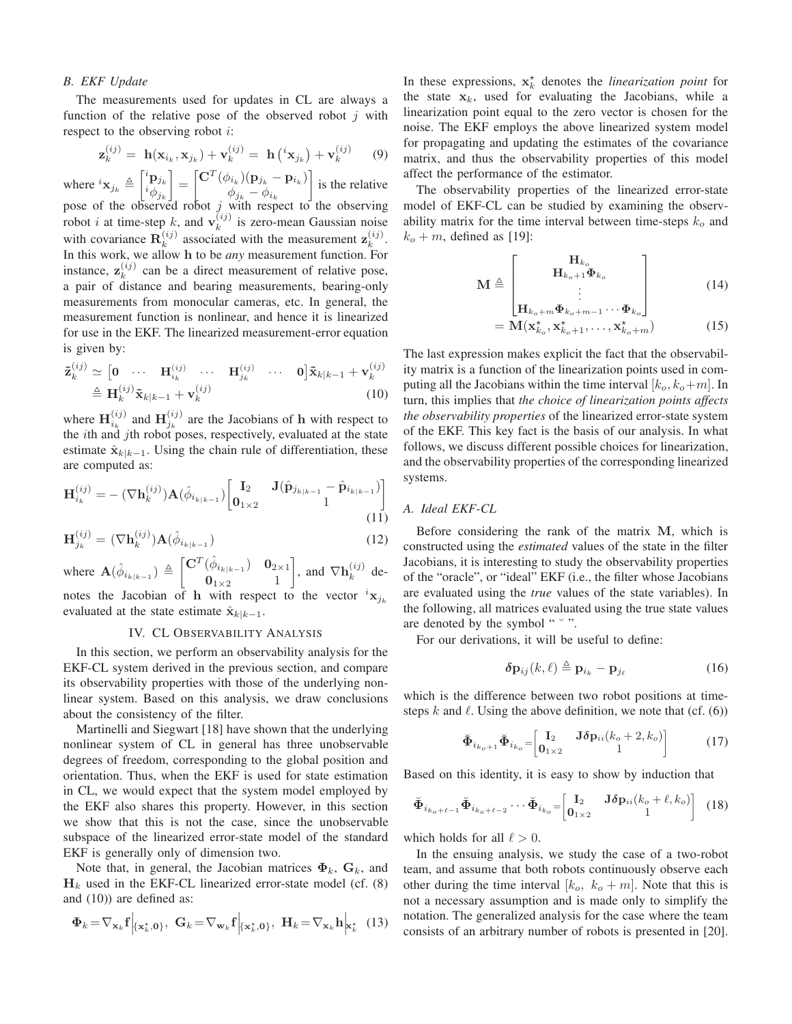# *B. EKF Update*

The measurements used for updates in CL are always a function of the relative pose of the observed robot  $j$  with respect to the observing robot  $i$ :

$$
\mathbf{z}_{k}^{(ij)} = \mathbf{h}(\mathbf{x}_{i_k}, \mathbf{x}_{j_k}) + \mathbf{v}_{k}^{(ij)} = \mathbf{h} \left( ^i \mathbf{x}_{j_k} \right) + \mathbf{v}_{k}^{(ij)} \tag{9}
$$

where  ${}^{i}\mathbf{x}_{j_k} \triangleq \begin{bmatrix} {}^{i}\mathbf{p}_{j_k} \\ {}^{i}\!{}_{k_k} \end{bmatrix}$  $^{i}\phi_{j_k}$  $\bigg] = \bigg[ \begin{matrix} \mathbf{C}^T (\phi_{i_k}) (\mathbf{p}_{j_k} - \mathbf{p}_{i_k}) \ \downarrow \end{matrix}$  $\phi_{j_k} - \phi_{i_k}$  $\int$  is the relative pose of the observed robot  $j$  with respect to the observing robot *i* at time-step *k*, and  $\mathbf{v}_k^{(ij)}$  is zero-mean Gaussian noise with covariance  $\mathbf{R}_k^{(ij)}$  associated with the measurement  $\mathbf{z}_k^{(ij)}$ . In this work, we allow h to be *any* measurement function. For instance,  $\mathbf{z}_k^{(ij)}$  $k_k^{(ij)}$  can be a direct measurement of relative pose, a pair of distance and bearing measurements, bearing-only measurements from monocular cameras, etc. In general, the measurement function is nonlinear, and hence it is linearized for use in the EKF. The linearized measurement-error equation is given by:

$$
\tilde{\mathbf{z}}_k^{(ij)} \simeq \begin{bmatrix} \mathbf{0} & \cdots & \mathbf{H}_{i_k}^{(ij)} & \cdots & \mathbf{H}_{j_k}^{(ij)} & \cdots & \mathbf{0} \end{bmatrix} \tilde{\mathbf{x}}_{k|k-1} + \mathbf{v}_k^{(ij)} \n\triangleq \mathbf{H}_k^{(ij)} \tilde{\mathbf{x}}_{k|k-1} + \mathbf{v}_k^{(ij)}
$$
\n(10)

where  $\mathbf{H}_{i_k}^{(ij)}$  and  $\mathbf{H}_{j_k}^{(ij)}$  are the Jacobians of h with respect to the *i*th and *j*th robot poses, respectively, evaluated at the state estimate  $\hat{\mathbf{x}}_{k|k-1}$ . Using the chain rule of differentiation, these are computed as:

$$
\mathbf{H}_{i_k}^{(ij)} = -(\nabla \mathbf{h}_k^{(ij)}) \mathbf{A}(\hat{\phi}_{i_{k|k-1}}) \begin{bmatrix} \mathbf{I}_2 & \mathbf{J}(\hat{\mathbf{p}}_{j_{k|k-1}} - \hat{\mathbf{p}}_{i_{k|k-1}}) \\ \mathbf{0}_{1 \times 2} & 1 \end{bmatrix}
$$
(11)

$$
\mathbf{H}_{j_k}^{(ij)} = (\nabla \mathbf{h}_k^{(ij)}) \mathbf{A}(\hat{\phi}_{i_{k|k-1}})
$$
\n(12)

where  $\mathbf{A}(\hat{\phi}_{i_{k|k-1}}) \triangleq \begin{bmatrix} \mathbf{C}^T(\hat{\phi}_{i_{k|k-1}}) & \mathbf{0}_{2\times 1} \\ \mathbf{0}_{i_{k|k-1}} & 1 \end{bmatrix}$  $0_{1\times 2}$  1 , and  $\nabla \mathbf{h}_k^{(ij)}$  denotes the Jacobian of h with respect to the vector  ${}^{i}x_{i}$ evaluated at the state estimate  $\hat{\mathbf{x}}_{k|k-1}$ .

#### IV. CL OBSERVABILITY ANALYSIS

In this section, we perform an observability analysis for the EKF-CL system derived in the previous section, and compare its observability properties with those of the underlying nonlinear system. Based on this analysis, we draw conclusions about the consistency of the filter.

Martinelli and Siegwart [18] have shown that the underlying nonlinear system of CL in general has three unobservable degrees of freedom, corresponding to the global position and orientation. Thus, when the EKF is used for state estimation in CL, we would expect that the system model employed by the EKF also shares this property. However, in this section we show that this is not the case, since the unobservable subspace of the linearized error-state model of the standard EKF is generally only of dimension two.

Note that, in general, the Jacobian matrices  $\Phi_k$ ,  $\mathbf{G}_k$ , and  $H_k$  used in the EKF-CL linearized error-state model (cf.  $(8)$ ) and (10)) are defined as:

$$
\Phi_k = \nabla_{\mathbf{x}_k} \mathbf{f} \Big|_{\{\mathbf{x}_k^{\star},\mathbf{0}\}}, \ \mathbf{G}_k = \nabla_{\mathbf{w}_k} \mathbf{f} \Big|_{\{\mathbf{x}_k^{\star},\mathbf{0}\}}, \ \mathbf{H}_k = \nabla_{\mathbf{x}_k} \mathbf{h} \Big|_{\mathbf{x}_k^{\star}} \tag{13}
$$

In these expressions,  $x_k^*$  denotes the *linearization point* for the state  $x_k$ , used for evaluating the Jacobians, while a linearization point equal to the zero vector is chosen for the noise. The EKF employs the above linearized system model for propagating and updating the estimates of the covariance matrix, and thus the observability properties of this model affect the performance of the estimator.

The observability properties of the linearized error-state model of EKF-CL can be studied by examining the observability matrix for the time interval between time-steps  $k<sub>o</sub>$  and  $k_o + m$ , defined as [19]:

$$
\mathbf{M} \triangleq \begin{bmatrix} \mathbf{H}_{k_o} \\ \mathbf{H}_{k_o+1} \boldsymbol{\Phi}_{k_o} \\ \vdots \\ \mathbf{H}_{k_a+m} \boldsymbol{\Phi}_{k_a+m-1} \cdots \boldsymbol{\Phi}_{k_a} \end{bmatrix}
$$
(14)

$$
= \mathbf{M}(\mathbf{x}_{k_o}^*, \mathbf{x}_{k_o+1}^*, \dots, \mathbf{x}_{k_o+m}^*)
$$
(15)

The last expression makes explicit the fact that the observability matrix is a function of the linearization points used in computing all the Jacobians within the time interval  $[k_o, k_o+m]$ . In turn, this implies that *the choice of linearization points affects the observability properties* of the linearized error-state system of the EKF. This key fact is the basis of our analysis. In what follows, we discuss different possible choices for linearization, and the observability properties of the corresponding linearized systems.

### *A. Ideal EKF-CL*

Before considering the rank of the matrix M, which is constructed using the *estimated* values of the state in the filter Jacobians, it is interesting to study the observability properties of the "oracle", or "ideal" EKF (i.e., the filter whose Jacobians are evaluated using the *true* values of the state variables). In the following, all matrices evaluated using the true state values are denoted by the symbol " $\degree$ ".

For our derivations, it will be useful to define:

$$
\delta \mathbf{p}_{ij}(k,\ell) \triangleq \mathbf{p}_{i_k} - \mathbf{p}_{j_\ell} \tag{16}
$$

which is the difference between two robot positions at timesteps k and  $\ell$ . Using the above definition, we note that (cf. (6))

$$
\breve{\boldsymbol{\Phi}}_{i_{k_o+1}} \breve{\boldsymbol{\Phi}}_{i_{k_o}} = \begin{bmatrix} \mathbf{I}_2 & \mathbf{J} \boldsymbol{\delta} \mathbf{p}_{ii} (k_o + 2, k_o) \\ \mathbf{0}_{1 \times 2} & 1 \end{bmatrix}
$$
 (17)

Based on this identity, it is easy to show by induction that

$$
\breve{\Phi}_{i_{k_o+\ell-1}} \breve{\Phi}_{i_{k_o+\ell-2}} \cdots \breve{\Phi}_{i_{k_o}} = \begin{bmatrix} I_2 & J \delta p_{ii}(k_o+\ell, k_o) \\ 0_{1 \times 2} & 1 \end{bmatrix} (18)
$$

which holds for all  $\ell > 0$ .

In the ensuing analysis, we study the case of a two-robot team, and assume that both robots continuously observe each other during the time interval  $[k_o, k_o + m]$ . Note that this is not a necessary assumption and is made only to simplify the notation. The generalized analysis for the case where the team consists of an arbitrary number of robots is presented in [20].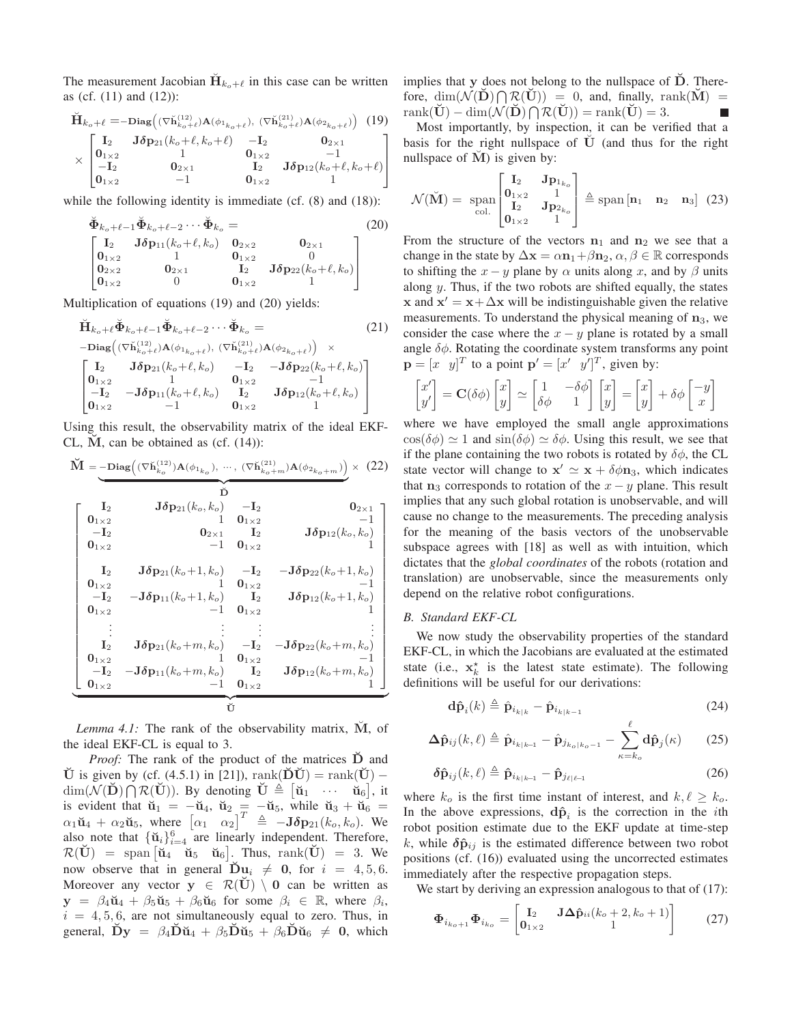The measurement Jacobian  $\check{H}_{k_0+\ell}$  in this case can be written as (cf. (11) and (12)):

$$
\check{H}_{k_o+\ell} = -\text{Diag}\left((\nabla \check{\mathbf{h}}_{k_o+\ell}^{(12)}) \mathbf{A}(\phi_{1_{k_o+\ell}}), (\nabla \check{\mathbf{h}}_{k_o+\ell}^{(21)}) \mathbf{A}(\phi_{2_{k_o+\ell}})\right) (19) \times \begin{bmatrix}\n\mathbf{I}_2 & \mathbf{J} \delta \mathbf{p}_{21}(k_o+\ell, k_o+\ell) & -\mathbf{I}_2 & \mathbf{0}_{2 \times 1} \\
\mathbf{0}_{1 \times 2} & 1 & \mathbf{0}_{1 \times 2} & -1 \\
-\mathbf{I}_2 & \mathbf{0}_{2 \times 1} & \mathbf{I}_2 & \mathbf{J} \delta \mathbf{p}_{12}(k_o+\ell, k_o+\ell) \\
\mathbf{0}_{1 \times 2} & -1 & \mathbf{0}_{1 \times 2} & 1\n\end{bmatrix}
$$

while the following identity is immediate (cf.  $(8)$  and  $(18)$ ):

$$
\begin{aligned}\n\breve{\Phi}_{k_o+\ell-1} & \breve{\Phi}_{k_o+\ell-2} \cdots \breve{\Phi}_{k_o} &= \\
& \begin{bmatrix}\n\mathbf{I}_2 & \mathbf{J} \delta \mathbf{p}_{11}(k_o+\ell,k_o) & \mathbf{0}_{2\times 2} & \mathbf{0}_{2\times 1} \\
\mathbf{0}_{1\times 2} & 1 & \mathbf{0}_{1\times 2} & 0 \\
\mathbf{0}_{2\times 2} & \mathbf{0}_{2\times 1} & \mathbf{I}_2 & \mathbf{J} \delta \mathbf{p}_{22}(k_o+\ell,k_o) \\
\mathbf{0}_{1\times 2} & 0 & \mathbf{0}_{1\times 2} & 1\n\end{bmatrix}\n\end{aligned} \tag{20}
$$

Multiplication of equations (19) and (20) yields:

$$
\check{H}_{k_o+\ell}\check{\Phi}_{k_o+\ell-1}\check{\Phi}_{k_o+\ell-2}\cdots\check{\Phi}_{k_o} = (21)
$$
\n
$$
-\text{Diag}\left((\nabla\check{\mathbf{h}}_{k_o+\ell}^{(12)})\mathbf{A}(\phi_{1_{k_o+\ell}}), (\nabla\check{\mathbf{h}}_{k_o+\ell}^{(21)})\mathbf{A}(\phi_{2_{k_o+\ell}})\right) \times
$$
\n
$$
\begin{bmatrix}\n\mathbf{I}_2 & \mathbf{J}\delta\mathbf{p}_{21}(k_o+\ell,k_o) & -\mathbf{I}_2 & -\mathbf{J}\delta\mathbf{p}_{22}(k_o+\ell,k_o) \\
\mathbf{0}_{1\times 2} & 1 & \mathbf{0}_{1\times 2} & -1 \\
-\mathbf{I}_2 & -\mathbf{J}\delta\mathbf{p}_{11}(k_o+\ell,k_o) & \mathbf{I}_2 & \mathbf{J}\delta\mathbf{p}_{12}(k_o+\ell,k_o) \\
\mathbf{0}_{1\times 2} & -1 & \mathbf{0}_{1\times 2} & 1\n\end{bmatrix}
$$
\n(21)

Using this result, the observability matrix of the ideal EKF-CL,  $\check{M}$ , can be obtained as (cf. (14)):

$$
\tilde{M} = -\frac{\text{Diag}\left((\nabla \check{h}_{k_o}^{(12)}) A(\phi_{1_{k_o}}), \cdots, (\nabla \check{h}_{k_o+m}^{(21)}) A(\phi_{2_{k_o+m}})\right)}{\tilde{D}} \times (22)
$$
\n
$$
\begin{bmatrix}\nI_2 & J \delta p_{21}(k_o, k_o) & -I_2 & 0_{2 \times 1} \\
-I_2 & 0_{2 \times 1} & I_2 & J \delta p_{12}(k_o, k_o) \\
0_{1 \times 2} & -1 & 0_{1 \times 2} & 1\n\end{bmatrix}
$$
\n
$$
\begin{bmatrix}\nI_2 & J \delta p_{21}(k_o + 1, k_o) & -I_2 & -J \delta p_{22}(k_o + 1, k_o) \\
0_{1 \times 2} & 1 & 0_{1 \times 2} & -1 \\
-I_2 & -J \delta p_{11}(k_o + 1, k_o) & I_2 & J \delta p_{12}(k_o + 1, k_o) \\
0_{1 \times 2} & -1 & 0_{1 \times 2} & 1\n\end{bmatrix}
$$
\n
$$
\begin{bmatrix}\nI_2 & J \delta p_{21}(k_o + m, k_o) & -I_2 & -J \delta p_{22}(k_o + m, k_o) \\
0_{1 \times 2} & 1 & 0_{1 \times 2} & 1 \\
-I_2 & -J \delta p_{11}(k_o + m, k_o) & I_2 & -J \delta p_{12}(k_o + m, k_o) \\
0_{1 \times 2} & -I_2 & -J \delta p_{11}(k_o + m, k_o) & I_2 & J \delta p_{12}(k_o + m, k_o) \\
0_{1 \times 2} & -I_2 & -J \delta p_{12}(k_o + m, k_o) & -I_2 & -J \delta p_{12}(k_o + m, k_o) \\
0_{1 \times 2} & -I_2 & -J \delta p_{12}(k_o + m, k_o) & -I_2 & -J \delta p_{12}(k_o + m, k_o) \\
0_{1 \times 2} & -I_2 & -J \delta p_{12}(k_o + m, k_o) & -I_2 & -J \delta p_{12}(k_o + m, k_o) \\
0_{1 \times 2} & -I_2 & -J \delta p_{12}(k_o + m, k_o) & -I_2 & -J \delta p_{12}(
$$

*Lemma 4.1:* The rank of the observability matrix, M, of the ideal EKF-CL is equal to 3.

*Proof:* The rank of the product of the matrices  $\tilde{D}$  and  $\check{\mathbf{U}}$  is given by (cf. (4.5.1) in [21]), rank $(\check{\mathbf{D}}\check{\mathbf{U}}) = \text{rank}(\check{\mathbf{U}}) \dim(\mathcal{N}(\mathbf{D}) \bigcap \mathcal{R}(\mathbf{U}))$ . By denoting  $\mathbf{U} \triangleq \begin{bmatrix} \mathbf{u}_1 & \cdots & \mathbf{u}_6 \end{bmatrix}$ , it is evident that  $\check{\mathbf{u}}_1 = -\check{\mathbf{u}}_4$ ,  $\check{\mathbf{u}}_2 = -\check{\mathbf{u}}_5$ , while  $\check{\mathbf{u}}_3 + \check{\mathbf{u}}_6 =$  $\alpha_1 \mathbf{u}_4 + \alpha_2 \mathbf{u}_5$ , where  $\begin{bmatrix} \alpha_1 & \alpha_2 \end{bmatrix}^T \triangleq -\mathbf{J} \delta \mathbf{p}_{21}(k_o, k_o)$ . We also note that  ${\{\check{\mathbf{u}}_i\}}_{i=4}^6$  are linearly independent. Therefore,  $\mathcal{R}(\breve{\mathbf{U}})$  = span  $\begin{bmatrix} \breve{\mathbf{u}}_4 & \breve{\mathbf{u}}_5 & \breve{\mathbf{u}}_6 \end{bmatrix}$ . Thus, rank $(\breve{\mathbf{U}})$  = 3. We now observe that in general  $\tilde{D}u_i \neq 0$ , for  $i = 4, 5, 6$ . Moreover any vector  $y \in \mathcal{R}(\check{U}) \setminus 0$  can be written as  $y = \beta_4 \mathbf{u}_4 + \beta_5 \mathbf{u}_5 + \beta_6 \mathbf{u}_6$  for some  $\beta_i \in \mathbb{R}$ , where  $\beta_i$ ,  $i = 4, 5, 6$ , are not simultaneously equal to zero. Thus, in general,  $\mathbf{\check{D}}\mathbf{y} = \beta_4 \mathbf{\check{D}} \mathbf{\check{u}}_4 + \beta_5 \mathbf{\check{D}} \mathbf{\check{u}}_5 + \beta_6 \mathbf{\check{D}} \mathbf{\check{u}}_6 \neq \mathbf{0}$ , which implies that y does not belong to the nullspace of  $\tilde{D}$ . Therefore,  $\dim(\mathcal{N}(\breve{\mathbf{D}}) \bigcap \mathcal{R}(\breve{\mathbf{U}})) = 0$ , and, finally, rank $(\breve{\mathbf{M}}) =$  $rank(\check{\mathbf{U}}) - dim(\mathcal{N}(\check{\mathbf{D}})) \bigcap \mathcal{R}(\check{\mathbf{U}})) = rank(\check{\mathbf{U}}) = 3.$ 

Most importantly, by inspection, it can be verified that a basis for the right nullspace of  $U$  (and thus for the right nullspace of  $M$ ) is given by:

$$
\mathcal{N}(\breve{\mathbf{M}}) = \operatorname*{span}_{\text{col.}} \begin{bmatrix} \mathbf{I}_2 & \mathbf{J} \mathbf{p}_{1_{k_o}} \\ \mathbf{0}_{1 \times 2} & 1 \\ \mathbf{I}_2 & \mathbf{J} \mathbf{p}_{2_{k_o}} \\ \mathbf{0}_{1 \times 2} & 1 \end{bmatrix} \triangleq \operatorname*{span} \begin{bmatrix} \mathbf{n}_1 & \mathbf{n}_2 & \mathbf{n}_3 \end{bmatrix} \tag{23}
$$

From the structure of the vectors  $n_1$  and  $n_2$  we see that a change in the state by  $\Delta x = \alpha n_1 + \beta n_2, \alpha, \beta \in \mathbb{R}$  corresponds to shifting the  $x - y$  plane by  $\alpha$  units along x, and by  $\beta$  units along  $y$ . Thus, if the two robots are shifted equally, the states x and  $x' = x + \Delta x$  will be indistinguishable given the relative measurements. To understand the physical meaning of  $n_3$ , we consider the case where the  $x - y$  plane is rotated by a small angle  $\delta\phi$ . Rotating the coordinate system transforms any point  $\mathbf{p} = [x \ y]^T$  to a point  $\mathbf{p}' = [x' \ y']^T$ , given by:

$$
\begin{bmatrix} x' \\ y' \end{bmatrix} = \mathbf{C}(\delta \phi) \begin{bmatrix} x \\ y \end{bmatrix} \simeq \begin{bmatrix} 1 & -\delta \phi \\ \delta \phi & 1 \end{bmatrix} \begin{bmatrix} x \\ y \end{bmatrix} = \begin{bmatrix} x \\ y \end{bmatrix} + \delta \phi \begin{bmatrix} -y \\ x \end{bmatrix}
$$

where we have employed the small angle approximations  $\cos(\delta\phi) \simeq 1$  and  $\sin(\delta\phi) \simeq \delta\phi$ . Using this result, we see that if the plane containing the two robots is rotated by  $\delta\phi$ , the CL state vector will change to  $x' \simeq x + \delta \phi n_3$ , which indicates that n<sub>3</sub> corresponds to rotation of the  $x - y$  plane. This result implies that any such global rotation is unobservable, and will cause no change to the measurements. The preceding analysis for the meaning of the basis vectors of the unobservable subspace agrees with [18] as well as with intuition, which dictates that the *global coordinates* of the robots (rotation and translation) are unobservable, since the measurements only depend on the relative robot configurations.

# *B. Standard EKF-CL*

We now study the observability properties of the standard EKF-CL, in which the Jacobians are evaluated at the estimated state (i.e.,  $x_k^*$  is the latest state estimate). The following definitions will be useful for our derivations:

$$
\mathbf{d}\hat{\mathbf{p}}_i(k) \triangleq \hat{\mathbf{p}}_{i_{k|k}} - \hat{\mathbf{p}}_{i_{k|k-1}} \tag{24}
$$

$$
\Delta \hat{\mathbf{p}}_{ij}(k,\ell) \triangleq \hat{\mathbf{p}}_{i_{k|k-1}} - \hat{\mathbf{p}}_{j_{k_o|k_o-1}} - \sum_{\kappa=k_o}^{\ell} \mathbf{d} \hat{\mathbf{p}}_j(\kappa) \qquad (25)
$$

$$
\delta \hat{\mathbf{p}}_{ij}(k,\ell) \triangleq \hat{\mathbf{p}}_{i_{k|k-1}} - \hat{\mathbf{p}}_{j_{\ell|\ell-1}} \tag{26}
$$

where  $k_o$  is the first time instant of interest, and  $k, \ell \geq k_o$ . In the above expressions,  $d\hat{p}_i$  is the correction in the *i*th robot position estimate due to the EKF update at time-step k, while  $\delta \hat{\mathbf{p}}_{ij}$  is the estimated difference between two robot positions (cf. (16)) evaluated using the uncorrected estimates immediately after the respective propagation steps.

We start by deriving an expression analogous to that of  $(17)$ :

$$
\mathbf{\Phi}_{i_{k_o+1}}\mathbf{\Phi}_{i_{k_o}} = \begin{bmatrix} \mathbf{I}_2 & \mathbf{J}\mathbf{\Delta}\hat{\mathbf{p}}_{ii}(k_o+2, k_o+1) \\ \mathbf{0}_{1\times 2} & 1 \end{bmatrix}
$$
 (27)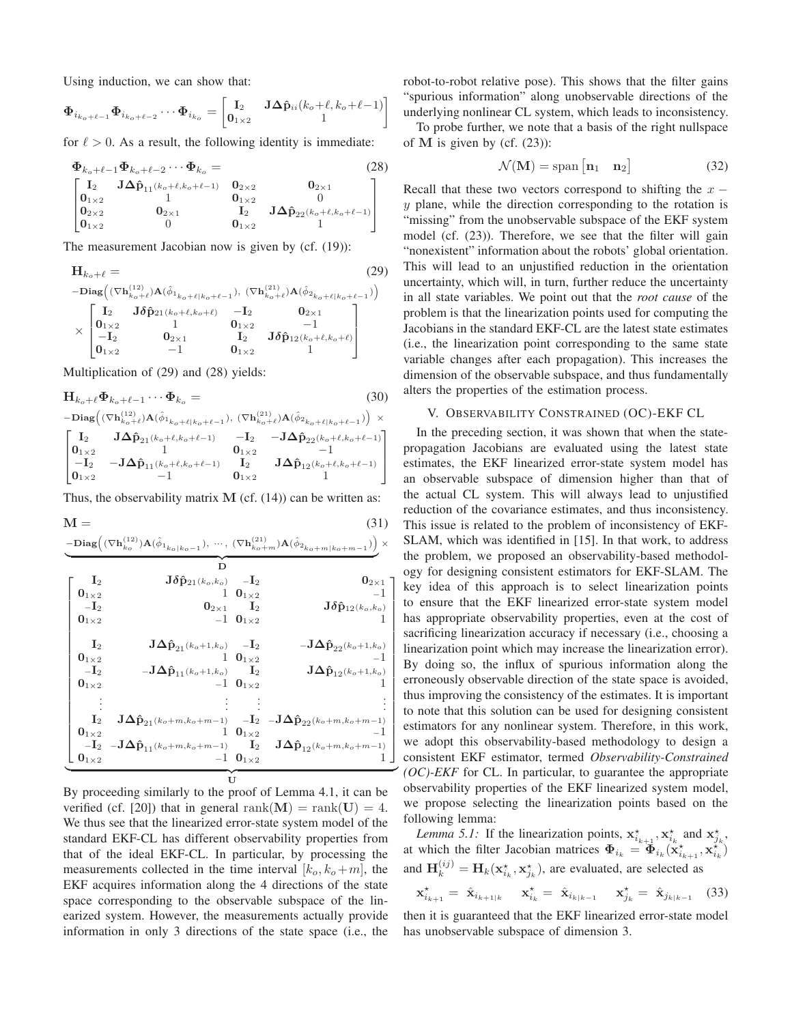Using induction, we can show that:

$$
\mathbf{\Phi}_{i_{k_o+\ell-1}}\mathbf{\Phi}_{i_{k_o+\ell-2}}\cdots\mathbf{\Phi}_{i_{k_o}} = \begin{bmatrix} \mathbf{I}_2 & \mathbf{J}\mathbf{\Delta}\mathbf{\hat{p}}_{ii}(k_o+\ell, k_o+\ell-1) \\ \mathbf{0}_{1\times 2} & 1 \end{bmatrix}
$$

for  $\ell > 0$ . As a result, the following identity is immediate:

$$
\Phi_{k_o+\ell-1}\Phi_{k_o+\ell-2}\cdots\Phi_{k_o} = (28)
$$
\n
$$
\begin{bmatrix}\nI_2 & J\Delta\hat{p}_{11}(k_o+\ell,k_o+\ell-1) & 0_{2\times 2} & 0_{2\times 1} \\
0_{1\times 2} & 1 & 0_{1\times 2} & 0 \\
0_{2\times 2} & 0_{2\times 1} & I_2 & J\Delta\hat{p}_{22}(k_o+\ell,k_o+\ell-1) \\
0_{1\times 2} & 0 & 0_{1\times 2} & 1\n\end{bmatrix}
$$
\n(28)

The measurement Jacobian now is given by (cf. (19)):

$$
\mathbf{H}_{k_o+\ell} = (29)
$$
\n
$$
-\text{Diag}((\nabla \mathbf{h}_{k_o+\ell}^{(12)}) \mathbf{A}(\hat{\phi}_{1_{k_o+\ell|k_o+\ell-1}}), (\nabla \mathbf{h}_{k_o+\ell}^{(21)}) \mathbf{A}(\hat{\phi}_{2_{k_o+\ell|k_o+\ell-1}}))
$$
\n
$$
\times \begin{bmatrix}\n\mathbf{I}_2 & \mathbf{J}\delta \hat{\mathbf{p}}_{21}(k_o+\ell,k_o+\ell) & -\mathbf{I}_2 & \mathbf{0}_{2\times 1} \\
\mathbf{0}_{1\times 2} & 1 & \mathbf{0}_{1\times 2} & -1 \\
-\mathbf{I}_2 & \mathbf{0}_{2\times 1} & \mathbf{I}_2 & \mathbf{J}\delta \hat{\mathbf{p}}_{12}(k_o+\ell,k_o+\ell) \\
\mathbf{0}_{1\times 2} & -1 & \mathbf{0}_{1\times 2} & 1\n\end{bmatrix}
$$
\n(29)

Multiplication of (29) and (28) yields:

$$
\mathbf{H}_{k_o+\ell}\Phi_{k_o+\ell-1}\cdots\Phi_{k_o} = (30)
$$
\n
$$
-\text{Diag}((\nabla \mathbf{h}_{k_o+\ell}^{(12)})\mathbf{A}(\hat{\phi}_{1_{k_o+\ell|k_o+\ell-1}}), (\nabla \mathbf{h}_{k_o+\ell}^{(21)})\mathbf{A}(\hat{\phi}_{2_{k_o+\ell|k_o+\ell-1}})) \times
$$
\n
$$
\begin{bmatrix}\n\mathbf{I}_2 & \mathbf{J}\boldsymbol{\Delta}\hat{\mathbf{p}}_{21}(k_o+\ell,k_o+\ell-1) & -\mathbf{I}_2 & -\mathbf{J}\boldsymbol{\Delta}\hat{\mathbf{p}}_{22}(k_o+\ell,k_o+\ell-1) \\
\mathbf{0}_{1\times 2} & 1 & \mathbf{0}_{1\times 2} & -1 \\
-\mathbf{I}_2 & -\mathbf{J}\boldsymbol{\Delta}\hat{\mathbf{p}}_{11}(k_o+\ell,k_o+\ell-1) & \mathbf{I}_2 & \mathbf{J}\boldsymbol{\Delta}\hat{\mathbf{p}}_{12}(k_o+\ell,k_o+\ell-1) \\
\mathbf{0}_{1\times 2} & -1 & \mathbf{0}_{1\times 2} & 1\n\end{bmatrix}
$$

Thus, the observability matrix  $M$  (cf. (14)) can be written as:

$$
\mathbf{M} = (31)
$$
\n
$$
-\mathbf{Diag}\left((\nabla \mathbf{h}_{k_o}^{(12)}) \mathbf{A}(\hat{\phi}_{1_{k_o|k_o-1}}), \cdots, (\nabla \mathbf{h}_{k_o+m}^{(21)}) \mathbf{A}(\hat{\phi}_{2_{k_o+m|k_o+m-1}})\right) \times
$$

$$
\begin{bmatrix}I_2&J\delta\hat{p}_{21}(k_o,k_o)&-I_2&0_{2\times 1}\\0_{1\times 2}&1&0_{1\times 2}&-1\\-I_2&0_{2\times 1}&I_2&J\delta\hat{p}_{12}(k_o,k_o)\\0_{1\times 2}&-1&0_{1\times 2}&1\\0_{1\times 2}&1&0_{1\times 2}&-J\Delta\hat{p}_{22}(k_o+1,k_o)\\0_{1\times 2}&1&0_{1\times 2}&-J\Delta\hat{p}_{22}(k_o+1,k_o)\\0_{1\times 2}&-J\Delta\hat{p}_{11}(k_o+1,k_o)&I_2&J\Delta\hat{p}_{12}(k_o+1,k_o)\\0_{1\times 2}&-I&0_{1\times 2}&1\\ \vdots&\vdots&\vdots&\vdots&\vdots\\I_2&J\Delta\hat{p}_{21}(k_o+m,k_o+m-1)&-I_2&-J\Delta\hat{p}_{22}(k_o+m,k_o+m-1)\\0_{1\times 2}&1&0_{1\times 2}&-1\\-I_2&-J\Delta\hat{p}_{11}(k_o+m,k_o+m-1)&I_2&J\Delta\hat{p}_{12}(k_o+m,k_o+m-1)\\0_{1\times 2}&-I&0_{1\times 2}&1\\0_{1\times 2}&0&0&0\\ \end{bmatrix}
$$

By proceeding similarly to the proof of Lemma 4.1, it can be verified (cf. [20]) that in general rank( $M$ ) = rank( $U$ ) = 4. We thus see that the linearized error-state system model of the standard EKF-CL has different observability properties from that of the ideal EKF-CL. In particular, by processing the measurements collected in the time interval  $[k_o, k_o+m]$ , the EKF acquires information along the 4 directions of the state space corresponding to the observable subspace of the linearized system. However, the measurements actually provide information in only 3 directions of the state space (i.e., the robot-to-robot relative pose). This shows that the filter gains "spurious information" along unobservable directions of the underlying nonlinear CL system, which leads to inconsistency.

To probe further, we note that a basis of the right nullspace of  $M$  is given by (cf.  $(23)$ ):

$$
\mathcal{N}(\mathbf{M}) = \text{span}\begin{bmatrix} \mathbf{n}_1 & \mathbf{n}_2 \end{bmatrix} \tag{32}
$$

Recall that these two vectors correspond to shifting the  $x$  $y$  plane, while the direction corresponding to the rotation is "missing" from the unobservable subspace of the EKF system model (cf. (23)). Therefore, we see that the filter will gain "nonexistent" information about the robots' global orientation. This will lead to an unjustified reduction in the orientation uncertainty, which will, in turn, further reduce the uncertainty in all state variables. We point out that the *root cause* of the problem is that the linearization points used for computing the Jacobians in the standard EKF-CL are the latest state estimates (i.e., the linearization point corresponding to the same state variable changes after each propagation). This increases the dimension of the observable subspace, and thus fundamentally alters the properties of the estimation process.

# V. OBSERVABILITY CONSTRAINED (OC)-EKF CL

In the preceding section, it was shown that when the statepropagation Jacobians are evaluated using the latest state estimates, the EKF linearized error-state system model has an observable subspace of dimension higher than that of the actual CL system. This will always lead to unjustified reduction of the covariance estimates, and thus inconsistency. This issue is related to the problem of inconsistency of EKF-SLAM, which was identified in [15]. In that work, to address the problem, we proposed an observability-based methodology for designing consistent estimators for EKF-SLAM. The key idea of this approach is to select linearization points to ensure that the EKF linearized error-state system model has appropriate observability properties, even at the cost of sacrificing linearization accuracy if necessary (i.e., choosing a linearization point which may increase the linearization error). By doing so, the influx of spurious information along the erroneously observable direction of the state space is avoided, thus improving the consistency of the estimates. It is important to note that this solution can be used for designing consistent estimators for any nonlinear system. Therefore, in this work, we adopt this observability-based methodology to design a consistent EKF estimator, termed *Observability-Constrained (OC)-EKF* for CL. In particular, to guarantee the appropriate observability properties of the EKF linearized system model, we propose selecting the linearization points based on the following lemma:

*Lemma 5.1:* If the linearization points,  $\mathbf{x}_{i_{k+1}}^*$ ,  $\mathbf{x}_{i_k}^*$  and  $\mathbf{x}_{j_k}^*$ , at which the filter Jacobian matrices  $\Phi_{i_k} = \Phi_{i_k}(\mathbf{x}_{i_{k+1}}^*, \mathbf{x}_{i_k}^*)$ and  $\mathbf{H}_{k}^{(ij)} = \mathbf{H}_{k}(\mathbf{x}_{i_k}^{\star}, \mathbf{x}_{j_k}^{\star}),$  are evaluated, are selected as

$$
\mathbf{x}_{i_{k+1}}^{\star} = \hat{\mathbf{x}}_{i_{k+1|k}} \quad \mathbf{x}_{i_k}^{\star} = \hat{\mathbf{x}}_{i_{k|k-1}} \quad \mathbf{x}_{j_k}^{\star} = \hat{\mathbf{x}}_{j_{k|k-1}} \quad (33)
$$

then it is guaranteed that the EKF linearized error-state model has unobservable subspace of dimension 3.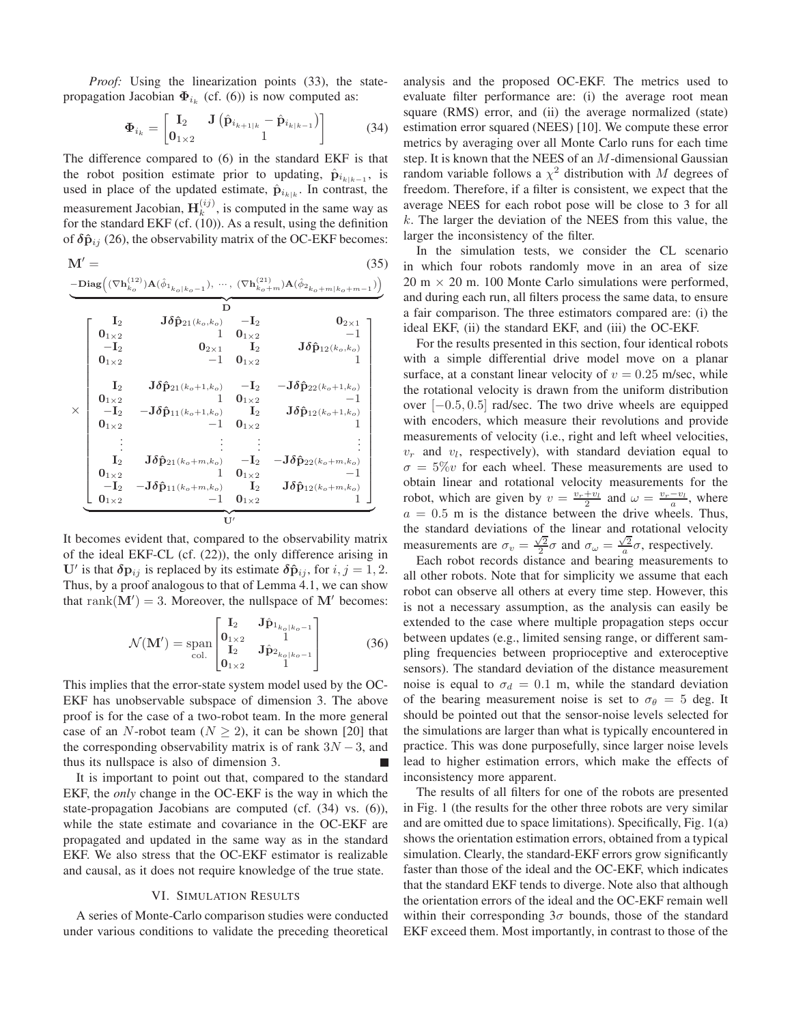*Proof:* Using the linearization points (33), the statepropagation Jacobian  $\Phi_{i_k}$  (cf. (6)) is now computed as:

$$
\mathbf{\Phi}_{i_k} = \begin{bmatrix} \mathbf{I}_2 & \mathbf{J} \left( \hat{\mathbf{p}}_{i_{k+1|k}} - \hat{\mathbf{p}}_{i_{k|k-1}} \right) \\ \mathbf{0}_{1 \times 2} & 1 \end{bmatrix}
$$
(34)

The difference compared to (6) in the standard EKF is that the robot position estimate prior to updating,  $\hat{p}_{i_{k|k-1}}$ , is used in place of the updated estimate,  $\hat{p}_{i_{k|k}}$ . In contrast, the measurement Jacobian,  $\mathbf{H}_k^{(ij)}$ , is computed in the same way as for the standard EKF (cf. (10)). As a result, using the definition of  $\delta \hat{p}_{ij}$  (26), the observability matrix of the OC-EKF becomes:

$$
\mathbf{M}' = \tag{35}
$$

$$
\qquad \qquad -\text{Diag}\Big((\nabla \textbf{h}_{k_o}^{(12)})\textbf{A}(\hat{\phi}_{1_{k_o | k_o - 1}}),\;\cdots,\;(\nabla \textbf{h}_{k_o + m}^{(21)})\textbf{A}(\hat{\phi}_{2_{k_o + m| k_o + m - 1}})\Big)\\
$$



It becomes evident that, compared to the observability matrix of the ideal EKF-CL (cf. (22)), the only difference arising in U' is that  $\delta \mathbf{p}_{ij}$  is replaced by its estimate  $\delta \hat{\mathbf{p}}_{ij}$ , for  $i, j = 1, 2$ . Thus, by a proof analogous to that of Lemma 4.1, we can show that rank $(M') = 3$ . Moreover, the nullspace of M' becomes:

$$
\mathcal{N}(\mathbf{M}') = \text{span}\begin{bmatrix} \mathbf{I}_2 & \mathbf{J}\hat{\mathbf{p}}_{1_{k_o|k_o-1}} \\ \mathbf{0}_{1\times 2} & 1 \\ \mathbf{I}_2 & \mathbf{J}\hat{\mathbf{p}}_{2_{k_o|k_o-1}} \\ \mathbf{0}_{1\times 2} & 1 \end{bmatrix}
$$
(36)

This implies that the error-state system model used by the OC-EKF has unobservable subspace of dimension 3. The above proof is for the case of a two-robot team. In the more general case of an N-robot team ( $N \ge 2$ ), it can be shown [20] that the corresponding observability matrix is of rank  $3N - 3$ , and thus its nullspace is also of dimension 3. L.

It is important to point out that, compared to the standard EKF, the *only* change in the OC-EKF is the way in which the state-propagation Jacobians are computed (cf. (34) vs. (6)), while the state estimate and covariance in the OC-EKF are propagated and updated in the same way as in the standard EKF. We also stress that the OC-EKF estimator is realizable and causal, as it does not require knowledge of the true state.

# VI. SIMULATION RESULTS

A series of Monte-Carlo comparison studies were conducted under various conditions to validate the preceding theoretical

analysis and the proposed OC-EKF. The metrics used to evaluate filter performance are: (i) the average root mean square (RMS) error, and (ii) the average normalized (state) estimation error squared (NEES) [10]. We compute these error metrics by averaging over all Monte Carlo runs for each time step. It is known that the NEES of an  $M$ -dimensional Gaussian random variable follows a  $\chi^2$  distribution with M degrees of freedom. Therefore, if a filter is consistent, we expect that the average NEES for each robot pose will be close to 3 for all  $k$ . The larger the deviation of the NEES from this value, the larger the inconsistency of the filter.

In the simulation tests, we consider the CL scenario in which four robots randomly move in an area of size  $20 \text{ m} \times 20 \text{ m}$ . 100 Monte Carlo simulations were performed, and during each run, all filters process the same data, to ensure a fair comparison. The three estimators compared are: (i) the ideal EKF, (ii) the standard EKF, and (iii) the OC-EKF.

For the results presented in this section, four identical robots with a simple differential drive model move on a planar surface, at a constant linear velocity of  $v = 0.25$  m/sec, while the rotational velocity is drawn from the uniform distribution over  $[-0.5, 0.5]$  rad/sec. The two drive wheels are equipped with encoders, which measure their revolutions and provide measurements of velocity (i.e., right and left wheel velocities,  $v_r$  and  $v_l$ , respectively), with standard deviation equal to  $\sigma = 5\%v$  for each wheel. These measurements are used to obtain linear and rotational velocity measurements for the robot, which are given by  $v = \frac{v_r + v_l}{2}$  and  $\omega = \frac{v_r - v_l}{a}$ , where  $a = 0.5$  m is the distance between the drive wheels. Thus, the standard deviations of the linear and rotational velocity measurements are  $\sigma_v = \frac{\sqrt{2}}{2}\sigma$  and  $\sigma_\omega = \frac{\sqrt{2}}{a}\sigma$ , respectively.

Each robot records distance and bearing measurements to all other robots. Note that for simplicity we assume that each robot can observe all others at every time step. However, this is not a necessary assumption, as the analysis can easily be extended to the case where multiple propagation steps occur between updates (e.g., limited sensing range, or different sampling frequencies between proprioceptive and exteroceptive sensors). The standard deviation of the distance measurement noise is equal to  $\sigma_d = 0.1$  m, while the standard deviation of the bearing measurement noise is set to  $\sigma_{\theta} = 5$  deg. It should be pointed out that the sensor-noise levels selected for the simulations are larger than what is typically encountered in practice. This was done purposefully, since larger noise levels lead to higher estimation errors, which make the effects of inconsistency more apparent.

The results of all filters for one of the robots are presented in Fig. 1 (the results for the other three robots are very similar and are omitted due to space limitations). Specifically, Fig. 1(a) shows the orientation estimation errors, obtained from a typical simulation. Clearly, the standard-EKF errors grow significantly faster than those of the ideal and the OC-EKF, which indicates that the standard EKF tends to diverge. Note also that although the orientation errors of the ideal and the OC-EKF remain well within their corresponding  $3\sigma$  bounds, those of the standard EKF exceed them. Most importantly, in contrast to those of the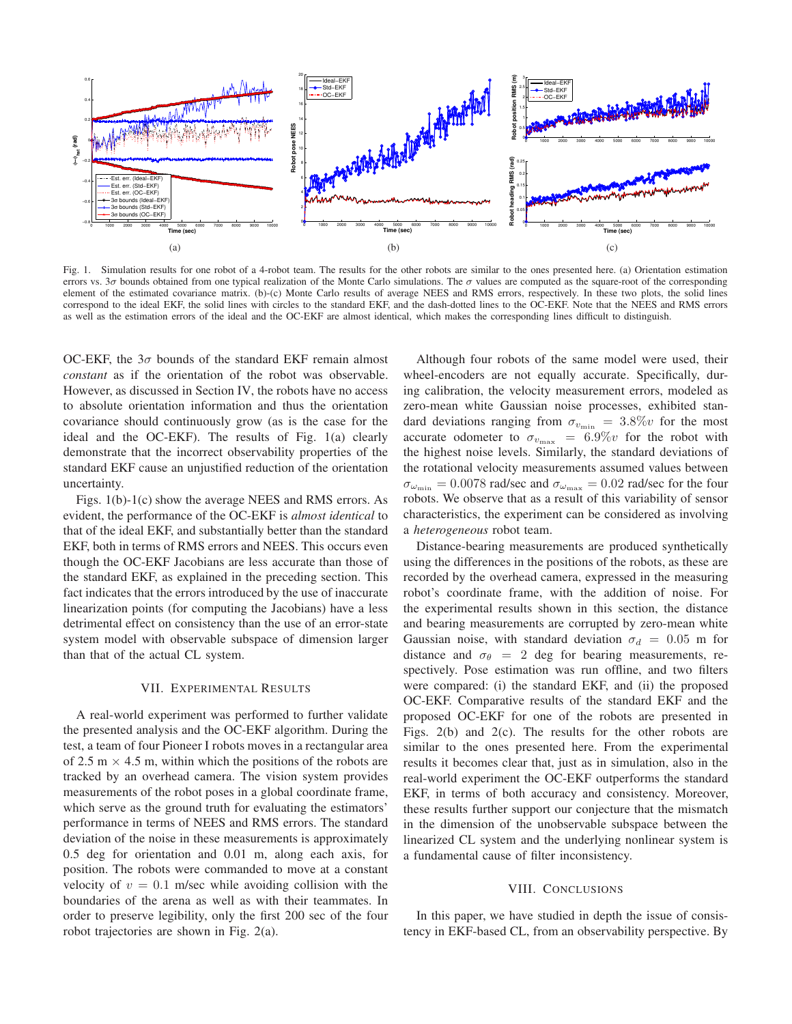

Fig. 1. Simulation results for one robot of a 4-robot team. The results for the other robots are similar to the ones presented here. (a) Orientation estimation errors vs. 3 $\sigma$  bounds obtained from one typical realization of the Monte Carlo simulations. The  $\sigma$  values are computed as the square-root of the corresponding element of the estimated covariance matrix. (b)-(c) Monte Carlo results of average NEES and RMS errors, respectively. In these two plots, the solid lines correspond to the ideal EKF, the solid lines with circles to the standard EKF, and the dash-dotted lines to the OC-EKF. Note that the NEES and RMS errors as well as the estimation errors of the ideal and the OC-EKF are almost identical, which makes the corresponding lines difficult to distinguish.

OC-EKF, the  $3\sigma$  bounds of the standard EKF remain almost *constant* as if the orientation of the robot was observable. However, as discussed in Section IV, the robots have no access to absolute orientation information and thus the orientation covariance should continuously grow (as is the case for the ideal and the OC-EKF). The results of Fig. 1(a) clearly demonstrate that the incorrect observability properties of the standard EKF cause an unjustified reduction of the orientation uncertainty.

Figs. 1(b)-1(c) show the average NEES and RMS errors. As evident, the performance of the OC-EKF is *almost identical* to that of the ideal EKF, and substantially better than the standard EKF, both in terms of RMS errors and NEES. This occurs even though the OC-EKF Jacobians are less accurate than those of the standard EKF, as explained in the preceding section. This fact indicates that the errors introduced by the use of inaccurate linearization points (for computing the Jacobians) have a less detrimental effect on consistency than the use of an error-state system model with observable subspace of dimension larger than that of the actual CL system.

#### VII. EXPERIMENTAL RESULTS

A real-world experiment was performed to further validate the presented analysis and the OC-EKF algorithm. During the test, a team of four Pioneer I robots moves in a rectangular area of 2.5 m  $\times$  4.5 m, within which the positions of the robots are tracked by an overhead camera. The vision system provides measurements of the robot poses in a global coordinate frame, which serve as the ground truth for evaluating the estimators' performance in terms of NEES and RMS errors. The standard deviation of the noise in these measurements is approximately 0.5 deg for orientation and 0.01 m, along each axis, for position. The robots were commanded to move at a constant velocity of  $v = 0.1$  m/sec while avoiding collision with the boundaries of the arena as well as with their teammates. In order to preserve legibility, only the first 200 sec of the four robot trajectories are shown in Fig. 2(a).

Although four robots of the same model were used, their wheel-encoders are not equally accurate. Specifically, during calibration, the velocity measurement errors, modeled as zero-mean white Gaussian noise processes, exhibited standard deviations ranging from  $\sigma_{v_{\text{min}}} = 3.8\%v$  for the most accurate odometer to  $\sigma_{v_{\rm max}} = 6.9\%v$  for the robot with the highest noise levels. Similarly, the standard deviations of the rotational velocity measurements assumed values between  $\sigma_{\omega_{\rm min}} = 0.0078$  rad/sec and  $\sigma_{\omega_{\rm max}} = 0.02$  rad/sec for the four robots. We observe that as a result of this variability of sensor characteristics, the experiment can be considered as involving a *heterogeneous* robot team.

Distance-bearing measurements are produced synthetically using the differences in the positions of the robots, as these are recorded by the overhead camera, expressed in the measuring robot's coordinate frame, with the addition of noise. For the experimental results shown in this section, the distance and bearing measurements are corrupted by zero-mean white Gaussian noise, with standard deviation  $\sigma_d = 0.05$  m for distance and  $\sigma_{\theta} = 2$  deg for bearing measurements, respectively. Pose estimation was run offline, and two filters were compared: (i) the standard EKF, and (ii) the proposed OC-EKF. Comparative results of the standard EKF and the proposed OC-EKF for one of the robots are presented in Figs. 2(b) and 2(c). The results for the other robots are similar to the ones presented here. From the experimental results it becomes clear that, just as in simulation, also in the real-world experiment the OC-EKF outperforms the standard EKF, in terms of both accuracy and consistency. Moreover, these results further support our conjecture that the mismatch in the dimension of the unobservable subspace between the linearized CL system and the underlying nonlinear system is a fundamental cause of filter inconsistency.

# VIII. CONCLUSIONS

In this paper, we have studied in depth the issue of consistency in EKF-based CL, from an observability perspective. By